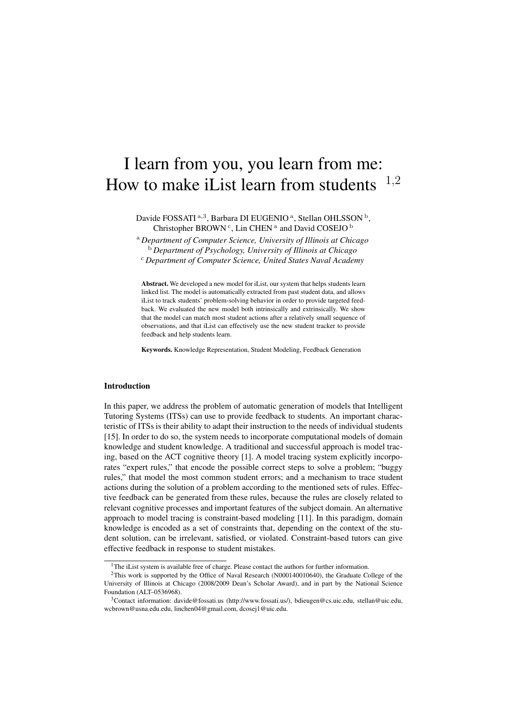# I learn from you, you learn from me: How to make iList learn from students  $1,2$

Davide FOSSATI<sup>a,3</sup>, Barbara DI EUGENIO<sup>a</sup>, Stellan OHLSSON<sup>b</sup>, Christopher BROWN<sup>c</sup>, Lin CHEN<sup>a</sup> and David COSEJO<sup>b</sup>

<sup>a</sup> *Department of Computer Science, University of Illinois at Chicago* <sup>b</sup> *Department of Psychology, University of Illinois at Chicago* <sup>c</sup> *Department of Computer Science, United States Naval Academy*

Abstract. We developed a new model for iList, our system that helps students learn linked list. The model is automatically extracted from past student data, and allows iList to track students' problem-solving behavior in order to provide targeted feedback. We evaluated the new model both intrinsically and extrinsically. We show that the model can match most student actions after a relatively small sequence of observations, and that iList can effectively use the new student tracker to provide feedback and help students learn.

Keywords. Knowledge Representation, Student Modeling, Feedback Generation

## Introduction

In this paper, we address the problem of automatic generation of models that Intelligent Tutoring Systems (ITSs) can use to provide feedback to students. An important characteristic of ITSs is their ability to adapt their instruction to the needs of individual students [15]. In order to do so, the system needs to incorporate computational models of domain knowledge and student knowledge. A traditional and successful approach is model tracing, based on the ACT cognitive theory [1]. A model tracing system explicitly incorporates "expert rules," that encode the possible correct steps to solve a problem; "buggy rules," that model the most common student errors; and a mechanism to trace student actions during the solution of a problem according to the mentioned sets of rules. Effective feedback can be generated from these rules, because the rules are closely related to relevant cognitive processes and important features of the subject domain. An alternative approach to model tracing is constraint-based modeling [11]. In this paradigm, domain knowledge is encoded as a set of constraints that, depending on the context of the student solution, can be irrelevant, satisfied, or violated. Constraint-based tutors can give effective feedback in response to student mistakes.

<sup>&</sup>lt;sup>1</sup>The iList system is available free of charge. Please contact the authors for further information.

<sup>2</sup>This work is supported by the Office of Naval Research (N000140010640), the Graduate College of the University of Illinois at Chicago (2008/2009 Dean's Scholar Award), and in part by the National Science Foundation (ALT–0536968).

<sup>&</sup>lt;sup>3</sup>Contact information: davide@fossati.us (http://www.fossati.us/), bdieugen@cs.uic.edu, stellan@uic.edu, wcbrown@usna.edu.edu, linchen04@gmail.com, dcosej1@uic.edu.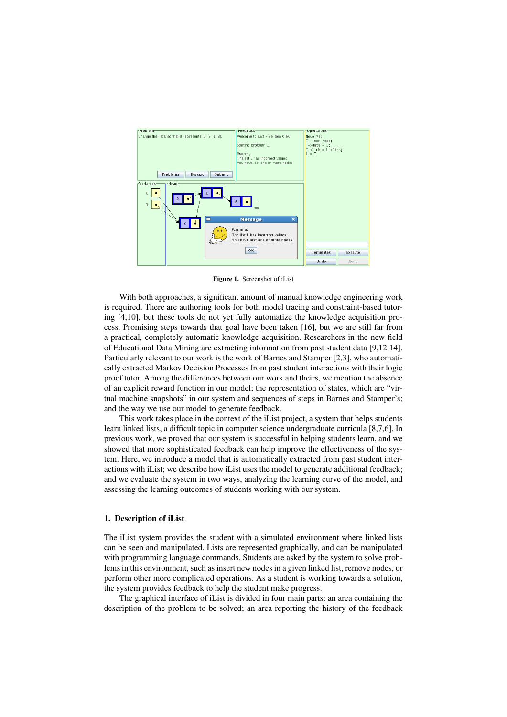

Figure 1. Screenshot of iList

With both approaches, a significant amount of manual knowledge engineering work is required. There are authoring tools for both model tracing and constraint-based tutoring [4,10], but these tools do not yet fully automatize the knowledge acquisition process. Promising steps towards that goal have been taken [16], but we are still far from a practical, completely automatic knowledge acquisition. Researchers in the new field of Educational Data Mining are extracting information from past student data [9,12,14]. Particularly relevant to our work is the work of Barnes and Stamper [2,3], who automatically extracted Markov Decision Processes from past student interactions with their logic proof tutor. Among the differences between our work and theirs, we mention the absence of an explicit reward function in our model; the representation of states, which are "virtual machine snapshots" in our system and sequences of steps in Barnes and Stamper's; and the way we use our model to generate feedback.

This work takes place in the context of the iList project, a system that helps students learn linked lists, a difficult topic in computer science undergraduate curricula [8,7,6]. In previous work, we proved that our system is successful in helping students learn, and we showed that more sophisticated feedback can help improve the effectiveness of the system. Here, we introduce a model that is automatically extracted from past student interactions with iList; we describe how iList uses the model to generate additional feedback; and we evaluate the system in two ways, analyzing the learning curve of the model, and assessing the learning outcomes of students working with our system.

#### 1. Description of iList

The iList system provides the student with a simulated environment where linked lists can be seen and manipulated. Lists are represented graphically, and can be manipulated with programming language commands. Students are asked by the system to solve problems in this environment, such as insert new nodes in a given linked list, remove nodes, or perform other more complicated operations. As a student is working towards a solution, the system provides feedback to help the student make progress.

The graphical interface of iList is divided in four main parts: an area containing the description of the problem to be solved; an area reporting the history of the feedback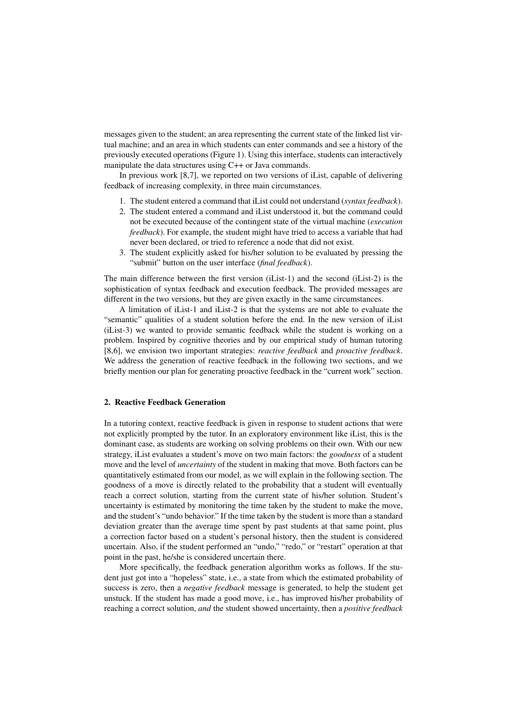messages given to the student; an area representing the current state of the linked list virtual machine; and an area in which students can enter commands and see a history of the previously executed operations (Figure 1). Using this interface, students can interactively manipulate the data structures using C++ or Java commands.

In previous work [8,7], we reported on two versions of iList, capable of delivering feedback of increasing complexity, in three main circumstances.

- 1. The student entered a command that iList could not understand (*syntax feedback*).
- 2. The student entered a command and iList understood it, but the command could not be executed because of the contingent state of the virtual machine (*execution feedback*). For example, the student might have tried to access a variable that had never been declared, or tried to reference a node that did not exist.
- 3. The student explicitly asked for his/her solution to be evaluated by pressing the "submit" button on the user interface (*final feedback*).

The main difference between the first version (iList-1) and the second (iList-2) is the sophistication of syntax feedback and execution feedback. The provided messages are different in the two versions, but they are given exactly in the same circumstances.

A limitation of iList-1 and iList-2 is that the systems are not able to evaluate the "semantic" qualities of a student solution before the end. In the new version of iList (iList-3) we wanted to provide semantic feedback while the student is working on a problem. Inspired by cognitive theories and by our empirical study of human tutoring [8,6], we envision two important strategies: *reactive feedback* and *proactive feedback*. We address the generation of reactive feedback in the following two sections, and we briefly mention our plan for generating proactive feedback in the "current work" section.

#### 2. Reactive Feedback Generation

In a tutoring context, reactive feedback is given in response to student actions that were not explicitly prompted by the tutor. In an exploratory environment like iList, this is the dominant case, as students are working on solving problems on their own. With our new strategy, iList evaluates a student's move on two main factors: the *goodness* of a student move and the level of *uncertainty* of the student in making that move. Both factors can be quantitatively estimated from our model, as we will explain in the following section. The goodness of a move is directly related to the probability that a student will eventually reach a correct solution, starting from the current state of his/her solution. Student's uncertainty is estimated by monitoring the time taken by the student to make the move, and the student's "undo behavior." If the time taken by the student is more than a standard deviation greater than the average time spent by past students at that same point, plus a correction factor based on a student's personal history, then the student is considered uncertain. Also, if the student performed an "undo," "redo," or "restart" operation at that point in the past, he/she is considered uncertain there.

More specifically, the feedback generation algorithm works as follows. If the student just got into a "hopeless" state, i.e., a state from which the estimated probability of success is zero, then a *negative feedback* message is generated, to help the student get unstuck. If the student has made a good move, i.e., has improved his/her probability of reaching a correct solution, *and* the student showed uncertainty, then a *positive feedback*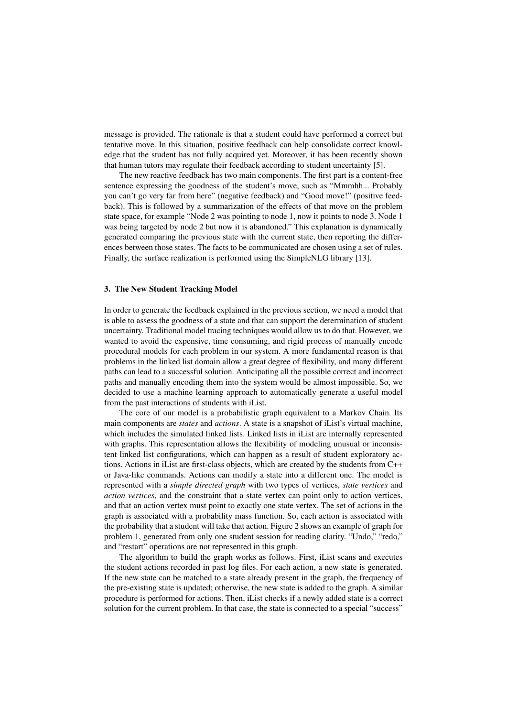message is provided. The rationale is that a student could have performed a correct but tentative move. In this situation, positive feedback can help consolidate correct knowledge that the student has not fully acquired yet. Moreover, it has been recently shown that human tutors may regulate their feedback according to student uncertainty [5].

The new reactive feedback has two main components. The first part is a content-free sentence expressing the goodness of the student's move, such as "Mmmhh... Probably you can't go very far from here" (negative feedback) and "Good move!" (positive feedback). This is followed by a summarization of the effects of that move on the problem state space, for example "Node 2 was pointing to node 1, now it points to node 3. Node 1 was being targeted by node 2 but now it is abandoned." This explanation is dynamically generated comparing the previous state with the current state, then reporting the differences between those states. The facts to be communicated are chosen using a set of rules. Finally, the surface realization is performed using the SimpleNLG library [13].

### 3. The New Student Tracking Model

In order to generate the feedback explained in the previous section, we need a model that is able to assess the goodness of a state and that can support the determination of student uncertainty. Traditional model tracing techniques would allow us to do that. However, we wanted to avoid the expensive, time consuming, and rigid process of manually encode procedural models for each problem in our system. A more fundamental reason is that problems in the linked list domain allow a great degree of flexibility, and many different paths can lead to a successful solution. Anticipating all the possible correct and incorrect paths and manually encoding them into the system would be almost impossible. So, we decided to use a machine learning approach to automatically generate a useful model from the past interactions of students with iList.

The core of our model is a probabilistic graph equivalent to a Markov Chain. Its main components are *states* and *actions*. A state is a snapshot of iList's virtual machine, which includes the simulated linked lists. Linked lists in iList are internally represented with graphs. This representation allows the flexibility of modeling unusual or inconsistent linked list configurations, which can happen as a result of student exploratory actions. Actions in iList are first-class objects, which are created by the students from C++ or Java-like commands. Actions can modify a state into a different one. The model is represented with a *simple directed graph* with two types of vertices, *state vertices* and *action vertices*, and the constraint that a state vertex can point only to action vertices, and that an action vertex must point to exactly one state vertex. The set of actions in the graph is associated with a probability mass function. So, each action is associated with the probability that a student will take that action. Figure 2 shows an example of graph for problem 1, generated from only one student session for reading clarity. "Undo," "redo," and "restart" operations are not represented in this graph.

The algorithm to build the graph works as follows. First, iList scans and executes the student actions recorded in past log files. For each action, a new state is generated. If the new state can be matched to a state already present in the graph, the frequency of the pre-existing state is updated; otherwise, the new state is added to the graph. A similar procedure is performed for actions. Then, iList checks if a newly added state is a correct solution for the current problem. In that case, the state is connected to a special "success"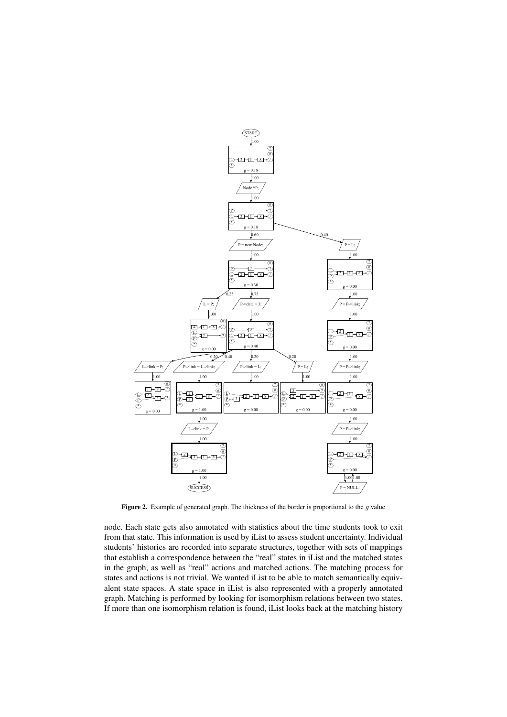

Figure 2. Example of generated graph. The thickness of the border is proportional to the  $g$  value

node. Each state gets also annotated with statistics about the time students took to exit from that state. This information is used by iList to assess student uncertainty. Individual students' histories are recorded into separate structures, together with sets of mappings that establish a correspondence between the "real" states in iList and the matched states in the graph, as well as "real" actions and matched actions. The matching process for states and actions is not trivial. We wanted iList to be able to match semantically equivalent state spaces. A state space in iList is also represented with a properly annotated graph. Matching is performed by looking for isomorphism relations between two states. If more than one isomorphism relation is found, iList looks back at the matching history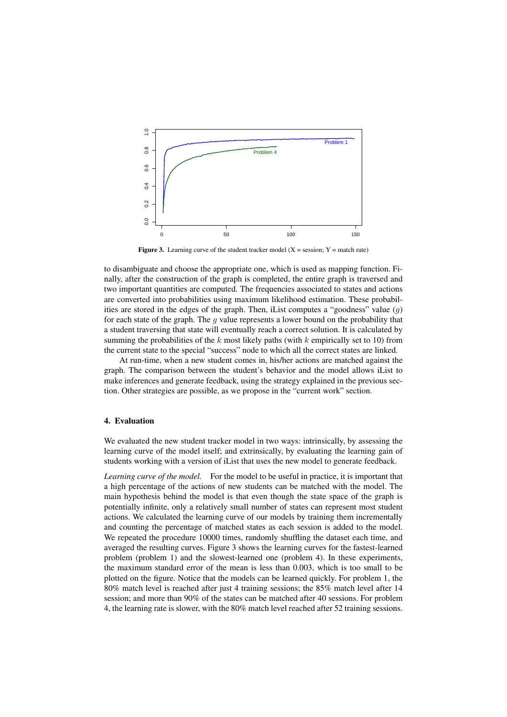

Figure 3. Learning curve of the student tracker model  $(X = session; Y = match rate)$ 

to disambiguate and choose the appropriate one, which is used as mapping function. Finally, after the construction of the graph is completed, the entire graph is traversed and two important quantities are computed. The frequencies associated to states and actions are converted into probabilities using maximum likelihood estimation. These probabilities are stored in the edges of the graph. Then, iList computes a "goodness" value  $(q)$ for each state of the graph. The g value represents a lower bound on the probability that a student traversing that state will eventually reach a correct solution. It is calculated by summing the probabilities of the  $k$  most likely paths (with  $k$  empirically set to 10) from the current state to the special "success" node to which all the correct states are linked.

At run-time, when a new student comes in, his/her actions are matched against the graph. The comparison between the student's behavior and the model allows iList to make inferences and generate feedback, using the strategy explained in the previous section. Other strategies are possible, as we propose in the "current work" section.

#### 4. Evaluation

We evaluated the new student tracker model in two ways: intrinsically, by assessing the learning curve of the model itself; and extrinsically, by evaluating the learning gain of students working with a version of iList that uses the new model to generate feedback.

*Learning curve of the model.* For the model to be useful in practice, it is important that a high percentage of the actions of new students can be matched with the model. The main hypothesis behind the model is that even though the state space of the graph is potentially infinite, only a relatively small number of states can represent most student actions. We calculated the learning curve of our models by training them incrementally and counting the percentage of matched states as each session is added to the model. We repeated the procedure 10000 times, randomly shuffling the dataset each time, and averaged the resulting curves. Figure 3 shows the learning curves for the fastest-learned problem (problem 1) and the slowest-learned one (problem 4). In these experiments, the maximum standard error of the mean is less than 0.003, which is too small to be plotted on the figure. Notice that the models can be learned quickly. For problem 1, the 80% match level is reached after just 4 training sessions; the 85% match level after 14 session; and more than 90% of the states can be matched after 40 sessions. For problem 4, the learning rate is slower, with the 80% match level reached after 52 training sessions.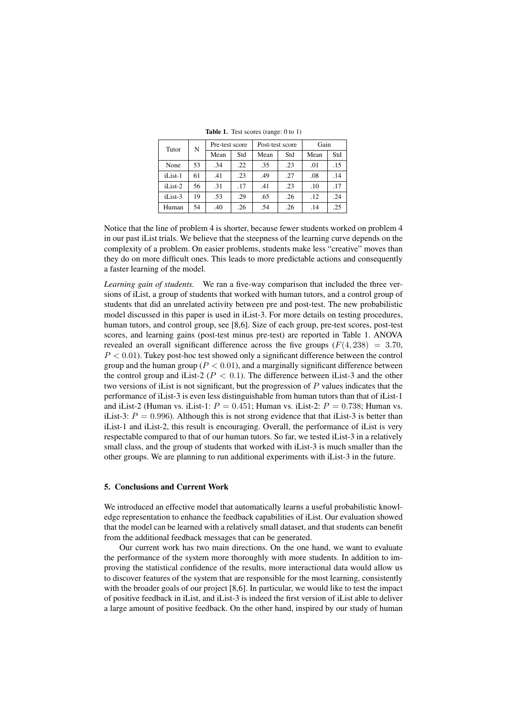Tutor N Pre-test score Post-test score Gain Mean Std Mean Std Mean Std 15. | None | 53 | .34 | .22 | .35 | .23 | .01 | .15 14. | 30. | 27. | 28. | 23. | 14. | 15. | 161 | 15. | 161 | 15. | 17. | 10. | 23. | 17. | 17. | 17. | 15. | 15. | 17. | 17. | 17. | 15. | 17. | 17. | 17. | 17. | 17. | 17. | 17 12. | 12. | 13. | 15. | 15. | 15. | 15. | 15. | 15. | 15. | 15. | 15. | 15. | 15. | 16. | 16. | 17. | 17. | 17 Human | 54 | .40 | .26 | .54 | .26 | .14 | .25

Table 1. Test scores (range: 0 to 1)

Notice that the line of problem 4 is shorter, because fewer students worked on problem 4 in our past iList trials. We believe that the steepness of the learning curve depends on the complexity of a problem. On easier problems, students make less "creative" moves than they do on more difficult ones. This leads to more predictable actions and consequently a faster learning of the model.

*Learning gain of students.* We ran a five-way comparison that included the three versions of iList, a group of students that worked with human tutors, and a control group of students that did an unrelated activity between pre and post-test. The new probabilistic model discussed in this paper is used in iList-3. For more details on testing procedures, human tutors, and control group, see [8,6]. Size of each group, pre-test scores, post-test scores, and learning gains (post-test minus pre-test) are reported in Table 1. ANOVA revealed an overall significant difference across the five groups  $(F(4, 238) = 3.70$ ,  $P < 0.01$ ). Tukey post-hoc test showed only a significant difference between the control group and the human group ( $P < 0.01$ ), and a marginally significant difference between the control group and iList-2 ( $P < 0.1$ ). The difference between iList-3 and the other two versions of iList is not significant, but the progression of  $P$  values indicates that the performance of iList-3 is even less distinguishable from human tutors than that of iList-1 and iList-2 (Human vs. iList-1:  $P = 0.451$ ; Human vs. iList-2:  $P = 0.738$ ; Human vs. iList-3:  $P = 0.996$ ). Although this is not strong evidence that that iList-3 is better than iList-1 and iList-2, this result is encouraging. Overall, the performance of iList is very respectable compared to that of our human tutors. So far, we tested iList-3 in a relatively small class, and the group of students that worked with iList-3 is much smaller than the other groups. We are planning to run additional experiments with iList-3 in the future.

#### 5. Conclusions and Current Work

We introduced an effective model that automatically learns a useful probabilistic knowledge representation to enhance the feedback capabilities of iList. Our evaluation showed that the model can be learned with a relatively small dataset, and that students can benefit from the additional feedback messages that can be generated.

Our current work has two main directions. On the one hand, we want to evaluate the performance of the system more thoroughly with more students. In addition to improving the statistical confidence of the results, more interactional data would allow us to discover features of the system that are responsible for the most learning, consistently with the broader goals of our project [8,6]. In particular, we would like to test the impact of positive feedback in iList, and iList-3 is indeed the first version of iList able to deliver a large amount of positive feedback. On the other hand, inspired by our study of human